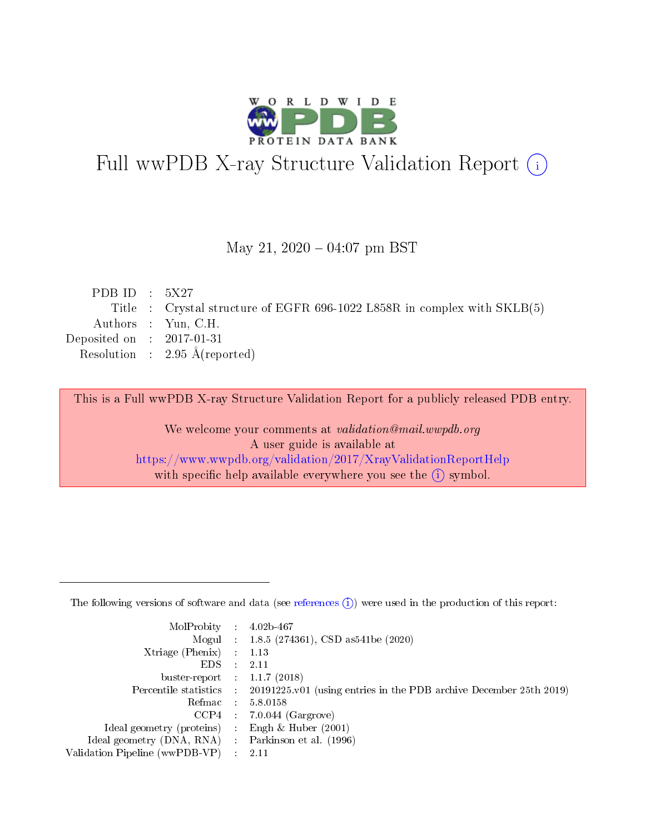

# Full wwPDB X-ray Structure Validation Report (i)

#### May 21,  $2020 - 04:07$  pm BST

| PDB ID : $5X27$             |                                                                          |
|-----------------------------|--------------------------------------------------------------------------|
|                             | Title : Crystal structure of EGFR 696-1022 L858R in complex with SKLB(5) |
|                             | Authors : Yun, C.H.                                                      |
| Deposited on : $2017-01-31$ |                                                                          |
|                             | Resolution : $2.95 \text{ Å}$ (reported)                                 |
|                             |                                                                          |

This is a Full wwPDB X-ray Structure Validation Report for a publicly released PDB entry.

We welcome your comments at validation@mail.wwpdb.org A user guide is available at <https://www.wwpdb.org/validation/2017/XrayValidationReportHelp> with specific help available everywhere you see the  $(i)$  symbol.

The following versions of software and data (see [references](https://www.wwpdb.org/validation/2017/XrayValidationReportHelp#references)  $(1)$ ) were used in the production of this report:

| $MolProbability$ 4.02b-467                          |               |                                                                                            |
|-----------------------------------------------------|---------------|--------------------------------------------------------------------------------------------|
|                                                     |               | Mogul : 1.8.5 (274361), CSD as 541be (2020)                                                |
| $Xtriangle (Phenix)$ : 1.13                         |               |                                                                                            |
| EDS.                                                | $\mathcal{L}$ | 2.11                                                                                       |
| buster-report : $1.1.7(2018)$                       |               |                                                                                            |
|                                                     |               | Percentile statistics : 20191225.v01 (using entries in the PDB archive December 25th 2019) |
| Refmac $5.8.0158$                                   |               |                                                                                            |
|                                                     |               | $CCP4$ : 7.0.044 (Gargrove)                                                                |
| Ideal geometry (proteins) :                         |               | Engh $\&$ Huber (2001)                                                                     |
| Ideal geometry (DNA, RNA) : Parkinson et al. (1996) |               |                                                                                            |
| Validation Pipeline (wwPDB-VP) : 2.11               |               |                                                                                            |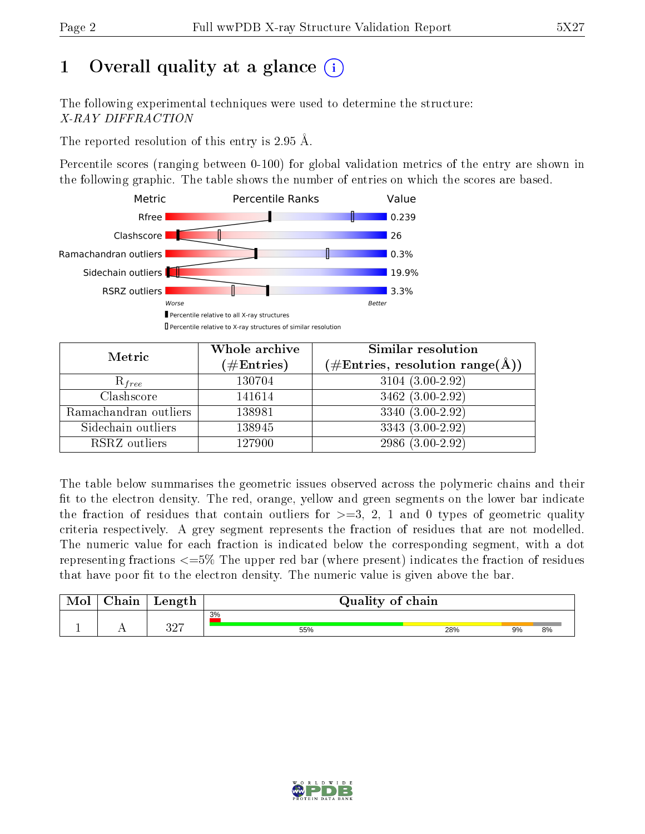## 1 [O](https://www.wwpdb.org/validation/2017/XrayValidationReportHelp#overall_quality)verall quality at a glance  $(i)$

The following experimental techniques were used to determine the structure: X-RAY DIFFRACTION

The reported resolution of this entry is 2.95 Å.

Percentile scores (ranging between 0-100) for global validation metrics of the entry are shown in the following graphic. The table shows the number of entries on which the scores are based.



| Metric                | Whole archive        | Similar resolution                                                     |
|-----------------------|----------------------|------------------------------------------------------------------------|
|                       | $(\#\text{Entries})$ | $(\#\text{Entries},\,\text{resolution}\,\,\text{range}(\textup{\AA}))$ |
| $R_{free}$            | 130704               | $3104(3.00-2.92)$                                                      |
| Clashscore            | 141614               | 3462 (3.00-2.92)                                                       |
| Ramachandran outliers | 138981               | 3340 (3.00-2.92)                                                       |
| Sidechain outliers    | 138945               | 3343 (3.00-2.92)                                                       |
| RSRZ outliers         | 127900               | 2986 (3.00-2.92)                                                       |

The table below summarises the geometric issues observed across the polymeric chains and their fit to the electron density. The red, orange, yellow and green segments on the lower bar indicate the fraction of residues that contain outliers for  $>=$  3, 2, 1 and 0 types of geometric quality criteria respectively. A grey segment represents the fraction of residues that are not modelled. The numeric value for each fraction is indicated below the corresponding segment, with a dot representing fractions  $\epsilon=5\%$  The upper red bar (where present) indicates the fraction of residues that have poor fit to the electron density. The numeric value is given above the bar.

|           | $\gamma$ hain | Length    | Quality of chain |     |    |    |
|-----------|---------------|-----------|------------------|-----|----|----|
|           |               |           | 3%               |     |    |    |
| <u>д.</u> | $\sim$ $\sim$ | າດອ<br>◡▵ | 55%              | 28% | 9% | 8% |

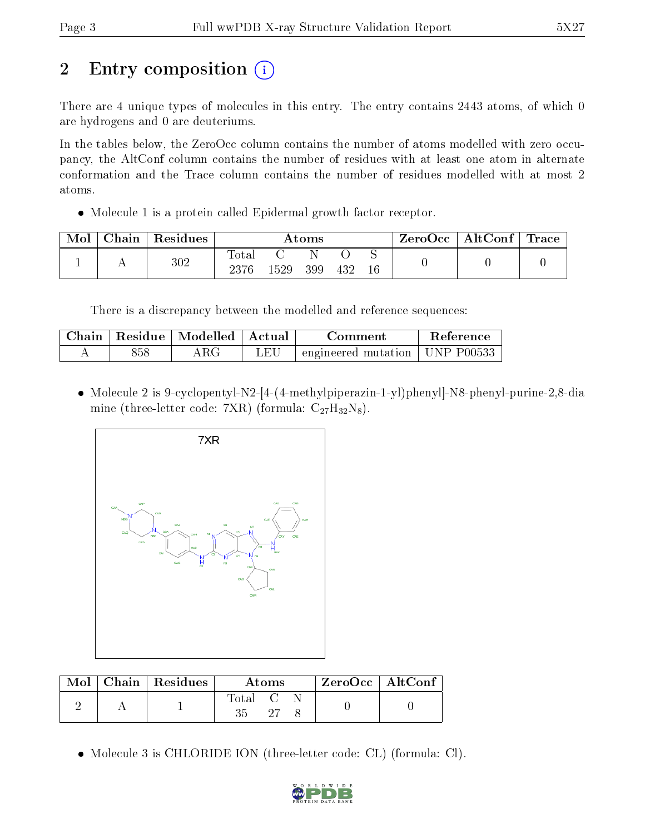## 2 Entry composition  $\left( \cdot \right)$

There are 4 unique types of molecules in this entry. The entry contains 2443 atoms, of which 0 are hydrogens and 0 are deuteriums.

In the tables below, the ZeroOcc column contains the number of atoms modelled with zero occupancy, the AltConf column contains the number of residues with at least one atom in alternate conformation and the Trace column contains the number of residues modelled with at most 2 atoms.

Molecule 1 is a protein called Epidermal growth factor receptor.

| Mol | Chain | Residues | $\rm{Atoms}$             |      |     |     | ZeroOcc     | $\vert$ AltConf $\vert$ | $\bf{Trace}$ |  |
|-----|-------|----------|--------------------------|------|-----|-----|-------------|-------------------------|--------------|--|
|     |       | 302      | $\mathrm{Total}$<br>2376 | 1529 | 399 | 432 | ∼<br>$16\,$ |                         |              |  |

There is a discrepancy between the modelled and reference sequences:

| Chain | ' Residue | $\parallel$ Modelled $\parallel$ | ' Actual | Comment                                     | <b>Reference</b> |
|-------|-----------|----------------------------------|----------|---------------------------------------------|------------------|
|       | 858       |                                  | JΕU      | $\pm$ engineered mutation $\pm$ UNP P00533. |                  |

 Molecule 2 is 9-cyclopentyl-N2-[4-(4-methylpiperazin-1-yl)phenyl]-N8-phenyl-purine-2,8-dia mine (three-letter code: 7XR) (formula:  $C_{27}H_{32}N_8$ ).



|  | Mol   Chain   Residues | <b>Atoms</b>                      |      |  | ZeroOcc   AltConf |  |
|--|------------------------|-----------------------------------|------|--|-------------------|--|
|  |                        | $\mathrm{Total} \quad \mathrm{C}$ | - 97 |  |                   |  |

Molecule 3 is CHLORIDE ION (three-letter code: CL) (formula: Cl).

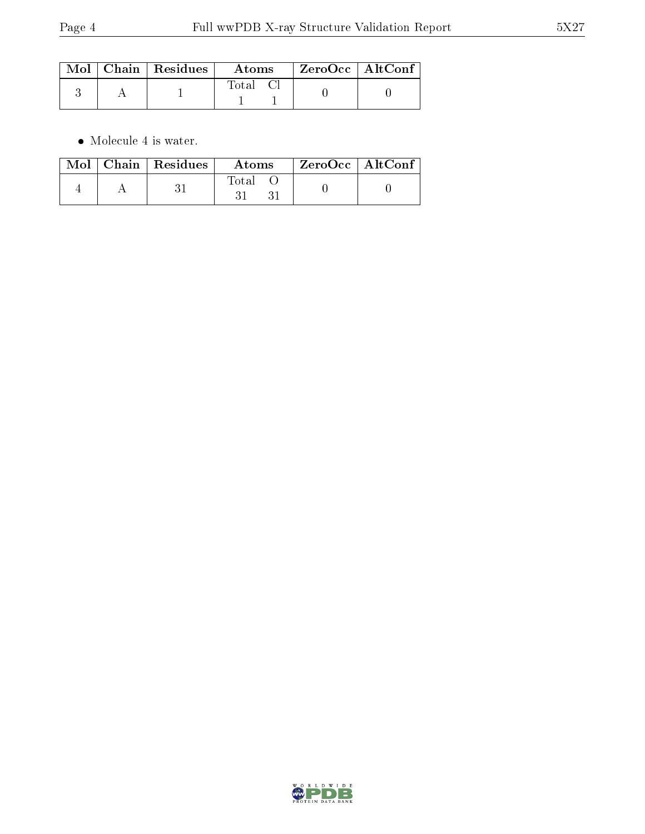|  | $\text{Mol}$   Chain   Residues | Atoms | ZeroOcc   AltConf |  |
|--|---------------------------------|-------|-------------------|--|
|  |                                 | Total |                   |  |

 $\bullet\,$  Molecule 4 is water.

|  | $Mol$   Chain   Residues | Atoms | $^\mathrm{+}$ ZeroOcc $\mathrm{~\vert}$ Alt $\overline{\text{Conf}}$ $\mathrm{~\vert}$ |  |
|--|--------------------------|-------|----------------------------------------------------------------------------------------|--|
|  |                          | Total |                                                                                        |  |

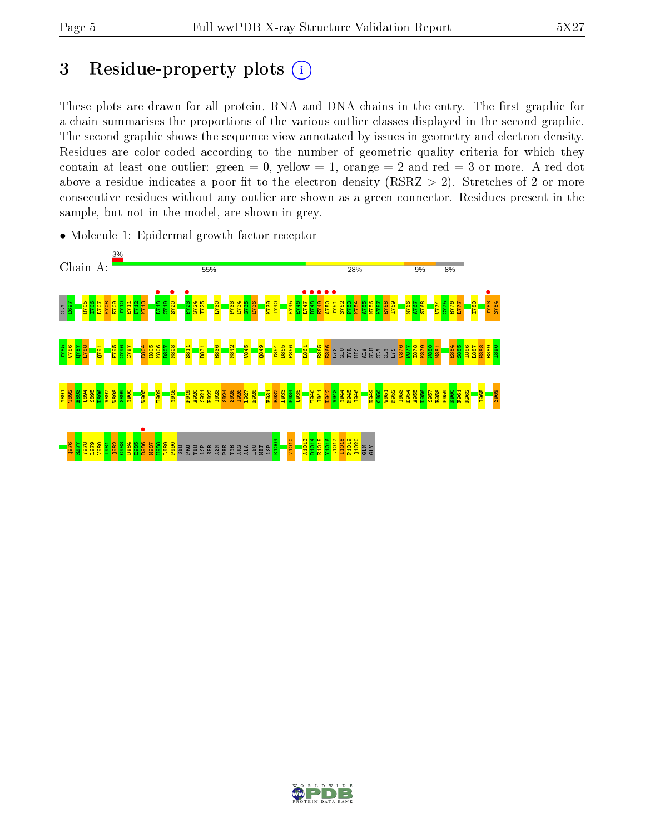## 3 Residue-property plots  $(i)$

These plots are drawn for all protein, RNA and DNA chains in the entry. The first graphic for a chain summarises the proportions of the various outlier classes displayed in the second graphic. The second graphic shows the sequence view annotated by issues in geometry and electron density. Residues are color-coded according to the number of geometric quality criteria for which they contain at least one outlier: green  $= 0$ , yellow  $= 1$ , orange  $= 2$  and red  $= 3$  or more. A red dot above a residue indicates a poor fit to the electron density (RSRZ  $> 2$ ). Stretches of 2 or more consecutive residues without any outlier are shown as a green connector. Residues present in the sample, but not in the model, are shown in grey.



• Molecule 1: Epidermal growth factor receptor

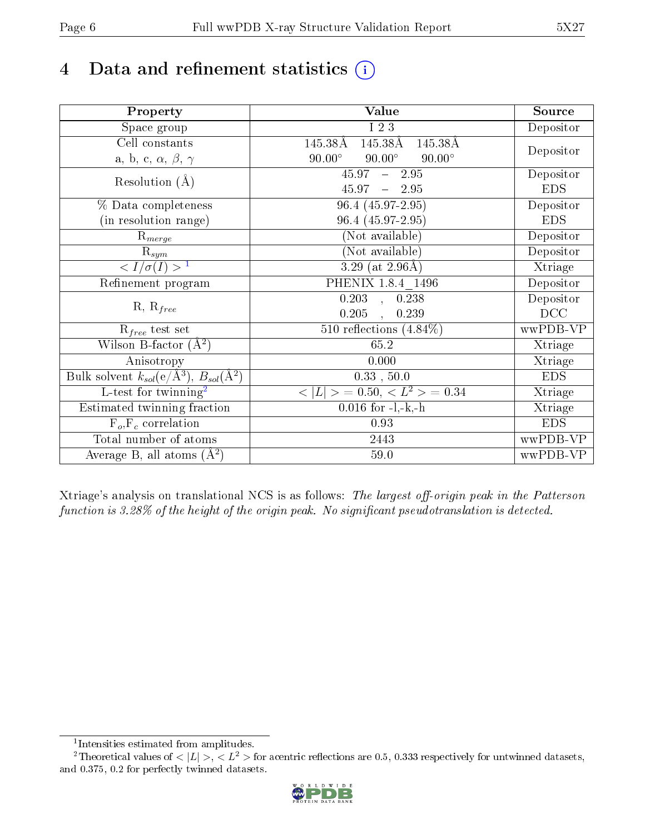## 4 Data and refinement statistics  $(i)$

| Property                                                      | Value                                           | Source     |
|---------------------------------------------------------------|-------------------------------------------------|------------|
| Space group                                                   | I 2 3                                           | Depositor  |
| Cell constants                                                | 145.38Å<br>145.38Å<br>145.38Å                   |            |
| a, b, c, $\alpha$ , $\beta$ , $\gamma$                        | $90.00^\circ$<br>$90.00^\circ$<br>$90.00^\circ$ | Depositor  |
| Resolution $(A)$                                              | $45.97 - 2.95$                                  | Depositor  |
|                                                               | $45.97 - 2.95$                                  | <b>EDS</b> |
| % Data completeness                                           | 96.4 (45.97-2.95)                               | Depositor  |
| (in resolution range)                                         | 96.4 (45.97-2.95)                               | <b>EDS</b> |
| $R_{merge}$                                                   | (Not available)                                 | Depositor  |
| $\mathrm{R}_{sym}$                                            | (Not available)                                 | Depositor  |
| $\langle I/\sigma(I) \rangle^{-1}$                            | 3.29 (at $2.96\text{\AA}$ )                     | Xtriage    |
| Refinement program                                            | PHENIX 1.8.4 1496                               | Depositor  |
|                                                               | $0.203$ , $0.238$                               | Depositor  |
| $R, R_{free}$                                                 | 0.205<br>0.239<br>$\overline{\phantom{a}}$      | DCC        |
| $R_{free}$ test set                                           | 510 reflections $(4.84\%)$                      | wwPDB-VP   |
| Wilson B-factor $(A^2)$                                       | 65.2                                            | Xtriage    |
| Anisotropy                                                    | 0.000                                           | Xtriage    |
| Bulk solvent $k_{sol}(e/\text{\AA}^3), B_{sol}(\text{\AA}^2)$ | 0.33, 50.0                                      | <b>EDS</b> |
| L-test for twinning <sup>2</sup>                              | $< L >$ = 0.50, $< L2 >$ = 0.34                 | Xtriage    |
| Estimated twinning fraction                                   | $0.016$ for $-l,-k,-h$                          | Xtriage    |
| $F_o, F_c$ correlation                                        | 0.93                                            | <b>EDS</b> |
| Total number of atoms                                         | 2443                                            | wwPDB-VP   |
| Average B, all atoms $(A^2)$                                  | 59.0                                            | wwPDB-VP   |

Xtriage's analysis on translational NCS is as follows: The largest off-origin peak in the Patterson function is  $3.28\%$  of the height of the origin peak. No significant pseudotranslation is detected.

<sup>&</sup>lt;sup>2</sup>Theoretical values of  $\langle |L| \rangle$ ,  $\langle L^2 \rangle$  for acentric reflections are 0.5, 0.333 respectively for untwinned datasets, and 0.375, 0.2 for perfectly twinned datasets.



<span id="page-5-1"></span><span id="page-5-0"></span><sup>1</sup> Intensities estimated from amplitudes.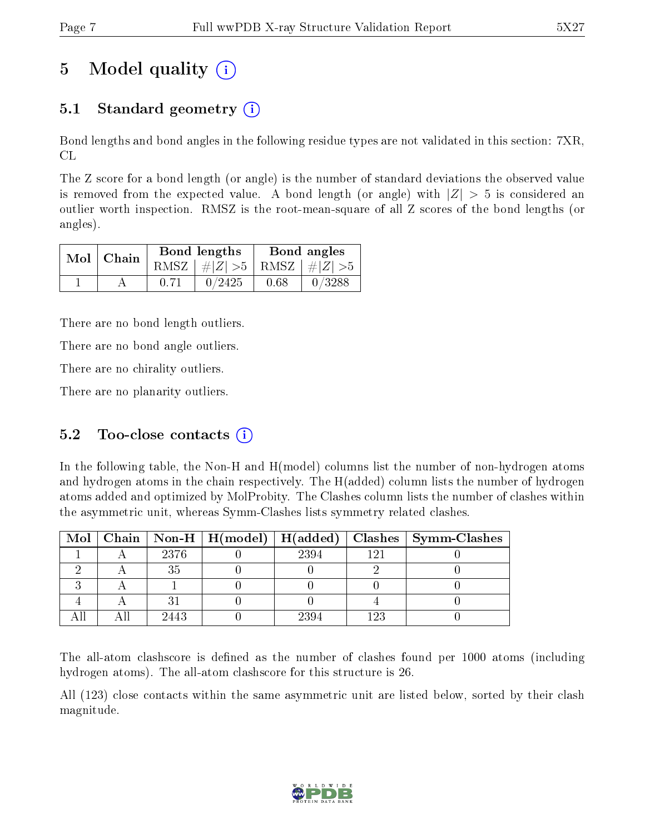## 5 Model quality  $(i)$

## 5.1 Standard geometry  $(i)$

Bond lengths and bond angles in the following residue types are not validated in this section: 7XR, CL

The Z score for a bond length (or angle) is the number of standard deviations the observed value is removed from the expected value. A bond length (or angle) with  $|Z| > 5$  is considered an outlier worth inspection. RMSZ is the root-mean-square of all Z scores of the bond lengths (or angles).

| $Mol$   Chain | Bond lengths                    | Bond angles |        |  |
|---------------|---------------------------------|-------------|--------|--|
|               | RMSZ $ #Z  > 5$ RMSZ $ #Z  > 5$ |             |        |  |
|               | 0/2425                          | 0.68        | 0/3288 |  |

There are no bond length outliers.

There are no bond angle outliers.

There are no chirality outliers.

There are no planarity outliers.

### 5.2 Too-close contacts  $(i)$

In the following table, the Non-H and H(model) columns list the number of non-hydrogen atoms and hydrogen atoms in the chain respectively. The H(added) column lists the number of hydrogen atoms added and optimized by MolProbity. The Clashes column lists the number of clashes within the asymmetric unit, whereas Symm-Clashes lists symmetry related clashes.

|  |      |      |     | Mol   Chain   Non-H   H(model)   H(added)   Clashes   Symm-Clashes |
|--|------|------|-----|--------------------------------------------------------------------|
|  | 2376 | 2394 | 191 |                                                                    |
|  | 35   |      |     |                                                                    |
|  |      |      |     |                                                                    |
|  |      |      |     |                                                                    |
|  | 2443 | 2394 | 123 |                                                                    |

The all-atom clashscore is defined as the number of clashes found per 1000 atoms (including hydrogen atoms). The all-atom clashscore for this structure is 26.

All (123) close contacts within the same asymmetric unit are listed below, sorted by their clash magnitude.

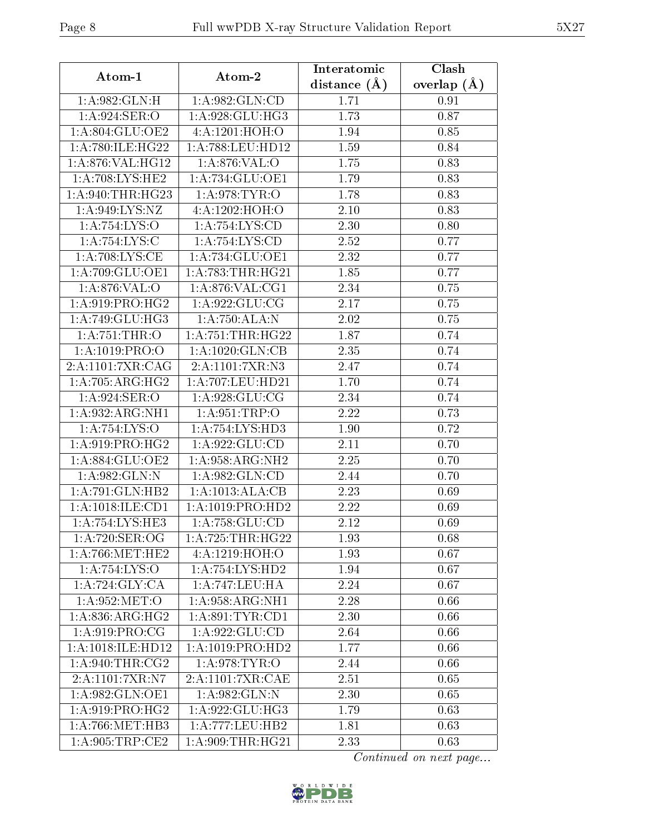| Atom-1                             | Atom-2               | Interatomic       | Clash         |
|------------------------------------|----------------------|-------------------|---------------|
|                                    |                      | distance $(\AA)$  | overlap $(A)$ |
| 1:A:982:GLN:H                      | 1: A:982: GLN:CD     | 1.71              | 0.91          |
| 1:A:924:SER:O                      | 1: A:928: GLU: HG3   | 1.73              | 0.87          |
| 1: A:804: GLU:OE2                  | 4:A:1201:HOH:O       | 1.94              | 0.85          |
| 1:A:780:ILE:HG22                   | 1:A:788:LEU:HD12     | 1.59              | 0.84          |
| 1:A:876:VAL:HG12                   | 1: A:876: VAL:O      | 1.75              | 0.83          |
| 1:A:708:LYS:HE2                    | 1:A:734:GLU:OE1      | 1.79              | 0.83          |
| 1: A:940:THR:HG23                  | 1: A:978: TYR:O      | 1.78              | 0.83          |
| 1:A:949:LYS:NZ                     | 4:A:1202:HOH:O       | 2.10              | 0.83          |
| 1:A:754:LYS:O                      | 1: A:754: LYS:CD     | 2.30              | 0.80          |
| 1: A:754: L <sub>YS:C</sub>        | 1:A:754:LYS:CD       | 2.52              | 0.77          |
| $1:A:708:\overline{\text{LYS:CE}}$ | 1:A:734:GLU:OE1      | 2.32              | 0.77          |
| 1:A:709:GLU:OE1                    | 1: A:783:THR:HG21    | 1.85              | 0.77          |
| 1:A:876:VAL:O                      | 1: A:876: VAL:CG1    | 2.34              | 0.75          |
| 1: A:919: PRO:HG2                  | 1:A:922:GLU:CG       | 2.17              | 0.75          |
| 1:A:749:GLU:HG3                    | 1:A:750:ALA:N        | 2.02              | 0.75          |
| 1:A:751:THR:O                      | 1: A: 751:THR: HG22  | 1.87              | 0.74          |
| 1:A:1019:PRO:O                     | 1: A: 1020: GLN: CB  | 2.35              | 0.74          |
| 2:A:1101:7XR:CAG                   | 2:A:1101:7XR:N3      | 2.47              | 0.74          |
| $1:A:705:ARG:\overline{HG2}$       | 1:A:707:LEU:HD21     | 1.70              | 0.74          |
| 1:A:924:SER:O                      | 1: A:928: GLU:CG     | 2.34              | 0.74          |
| 1:A:932:ARG:NH1                    | 1:A:951:TRP:O        | 2.22              | 0.73          |
| 1:A:754:LYS:O                      | 1:A:754:LYS:HD3      | 1.90              | 0.72          |
| 1: A:919: PRO:HG2                  | 1:A:922:GLU:CD       | 2.11              | 0.70          |
| 1:A:884:GLU:OE2                    | 1: A:958:ARG:NH2     | 2.25              | 0.70          |
| 1:A:982:GLN:N                      | 1:A:982:GLN:CD       | 2.44              | 0.70          |
| 1:A:791:GLN:HB2                    | 1:A:1013:ALA:CB      | 2.23              | 0.69          |
| 1:A:1018:ILE:CD1                   | 1: A: 1019: PRO: HD2 | $\overline{2.22}$ | 0.69          |
| 1: A:754:LYS:HE3                   | 1: A:758: GLU:CD     | 2.12              | 0.69          |
| 1:A:720:SER:OG                     | 1: A:725:THR:HG22    | 1.93              | 0.68          |
| 1: A:766:MET:HE2                   | 4:A:1219:HOH:O       | 1.93              | 0.67          |
| 1:A:754:LYS:O                      | 1: A: 754: LYS: HD2  | 1.94              | 0.67          |
| 1: A:724: GLY: CA                  | 1:A:747:LEU:HA       | 2.24              | 0.67          |
| 1: A:952:MET:O                     | 1: A:958: ARG:NH1    | 2.28              | 0.66          |
| 1:A:836:ARG:HG2                    | 1: A:891:TYR:CD1     | 2.30              | 0.66          |
| 1:A:919:PRO:CG                     | 1:A:922:GLU:CD       | 2.64              | 0.66          |
| 1:A:1018:ILE:HD12                  | 1:A:1019:PRO:HD2     | 1.77              | 0.66          |
| 1: A:940:THR:CG2                   | 1: A:978:TYR:O       | 2.44              | 0.66          |
| 2:A:1101:7XR:N7                    | 2:A:1101:7XR:CAE     | 2.51              | 0.65          |
| 1: A:982: GLN: OE1                 | 1: A:982: GLN:N      | 2.30              | 0.65          |
| 1: A:919:PRO:HG2                   | 1:A:922:GLU:HG3      | 1.79              | 0.63          |
| 1: A:766:MET:HB3                   | 1:A:777:LEU:HB2      | 1.81              | 0.63          |
| 1: A:905:TRP:CE2                   | 1: A:909:THR:HG21    | 2.33              | 0.63          |

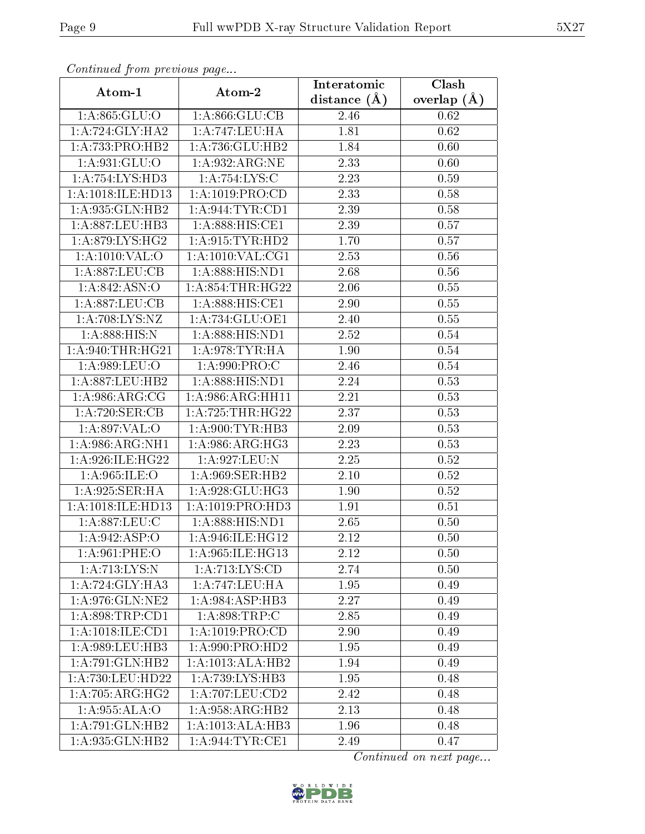| Continued from previous page         |                                 | Interatomic    | Clash         |
|--------------------------------------|---------------------------------|----------------|---------------|
| Atom-1                               | Atom-2                          | distance $(A)$ | overlap $(A)$ |
| 1:A:865:GLU:O                        | 1: A:866: GLU:CB                | 2.46           | 0.62          |
| 1: A:724: GLY: HA2                   | 1:A:747:LEU:HA                  | 1.81           | 0.62          |
| $1:A:733:PRO:H\overline{B2}$         | 1:A:736:GLU:HB2                 | 1.84           | 0.60          |
| 1: A:931: GLU:O                      | 1: A:932: ARG: NE               | 2.33           | 0.60          |
| 1:A:754:LYS:HD3                      | 1:A:754:LYS:C                   | 2.23           | 0.59          |
| 1:A:1018:ILE:HD13                    | 1: A: 1019: PRO:CD              | 2.33           | 0.58          |
| 1:A:935:GLN:HB2                      | 1: A:944:TYR:CD1                | 2.39           | 0.58          |
| 1: A:887:LEU:HB3                     | $1: A:888: HIS: \overline{CE1}$ | 2.39           | 0.57          |
| 1: A:879: LYS: HG2                   | 1: A:915: TYR: HD2              | 1.70           | 0.57          |
| 1:A:1010:VAL:O                       | 1: A: 1010: VAL: CG1            | 2.53           | 0.56          |
| 1:A:887:LEU:CB                       | 1:A:888:HIS:ND1                 | 2.68           | 0.56          |
| 1:A:842:ASN:O                        | 1: A:854:THR:HG22               | 2.06           | 0.55          |
| 1:A:887:LEU:CB                       | 1:A:888:HIS:CE1                 | 2.90           | 0.55          |
| 1:A:708:LYS:NZ                       | $1:A:734:GL\overline{U:OE1}$    | 2.40           | 0.55          |
| 1: A:888:HIS:N                       | 1:A:888:HIS:ND1                 | 2.52           | 0.54          |
| 1: A:940:THR:HG21                    | 1: A:978: TYR: HA               | 1.90           | 0.54          |
| 1:A:989:LEU:O                        | 1: A:990: PRO:CC                | 2.46           | 0.54          |
| $1:$ A:887:LEU:HB2                   | 1:A:888:HIS:ND1                 | 2.24           | 0.53          |
| $1: A:986:ARG:\overline{CG}$         | 1:A:986:ARG:HH11                | 2.21           | 0.53          |
| 1:A:720:SER:CB                       | 1: A:725:THR:HG22               | 2.37           | 0.53          |
| 1:A:897:VAL:O                        | 1: A:900: TYR: HB3              | 2.09           | 0.53          |
| 1: A:986: ARG: NH1                   | $1: A:986: \overline{ARG:HG3}$  | 2.23           | 0.53          |
| 1:A:926:ILE:HG22                     | 1:A:927:LEU:N                   | 2.25           | 0.52          |
| 1:A:965:ILE:O                        | 1:A:969:SER:HB2                 | 2.10           | 0.52          |
| 1:A:925:SER:HA                       | 1:A:928:GLU:HG3                 | 1.90           | 0.52          |
| 1:A:1018:ILE:HD13                    | 1:A:1019:PRO:HD3                | 1.91           | 0.51          |
| 1:A:887:LEU:C                        | 1:A:888:HIS:ND1                 | 2.65           | 0.50          |
| 1: A:942: ASP:O                      | 1: A:946: ILE: HG12             | 2.12           | 0.50          |
| 1:A:961:PHE:O                        | 1:A:965:ILE:HG13                | 2.12           | 0.50          |
| 1: A:713: LYS:N                      | 1: A: 713: LYS: CD              | 2.74           | 0.50          |
| 1: A:724: GLY:HA3                    | 1:A:747:LEU:HA                  | 1.95           | 0.49          |
| 1:A:976:GLN:NE2                      | 1:A:984:ASP:HB3                 | 2.27           | 0.49          |
| 1: A:898:TRP:CD1                     | 1: A:898:TRP:C                  | 2.85           | 0.49          |
| $1:A:1018:\overline{\text{ILE:CD1}}$ | 1: A: 1019: PRO:CD              | 2.90           | 0.49          |
| 1:A:989:LEU:HB3                      | 1: A:990: PRO:HD2               | 1.95           | 0.49          |
| 1:A:791:GLN:HB2                      | 1:A:1013:ALA:HB2                | 1.94           | 0.49          |
| 1:A:730:LEU:HD22                     | 1:A:739:LYS:HB3                 | 1.95           | 0.48          |
| 1:A:705:ARG:HG2                      | 1: A:707:LEU:CD2                | 2.42           | 0.48          |
| 1:A:955:ALA:O                        | 1:A:958:ARG:HB2                 | 2.13           | 0.48          |
| 1:A:791:GLN:HB2                      | 1:A:1013:ALA:HB3                | 1.96           | 0.48          |
| 1:A:935:GLN:HB2                      | 1: A:944:TYR:CE1                | 2.49           | 0.47          |

Continued from previous page.

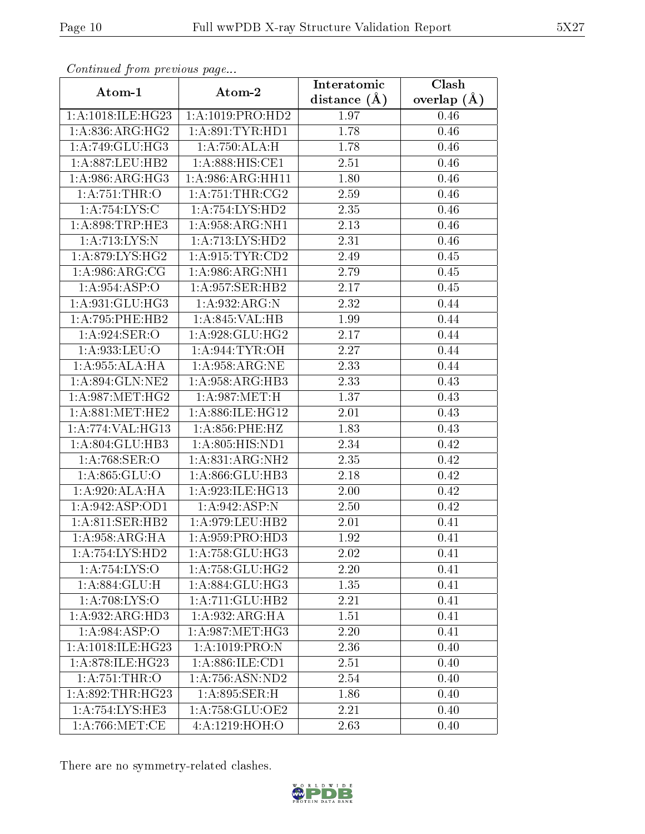| Communa from previous page                 |                     | Interatomic      | Clash         |
|--------------------------------------------|---------------------|------------------|---------------|
| Atom-1                                     | Atom-2              | distance $(\AA)$ | overlap $(A)$ |
| 1:A:1018:ILE:HG23                          | 1:A:1019:PRO:HD2    | 1.97             | 0.46          |
| 1:A:836:ARG:HG2                            | 1: A:891:TYR:HD1    | 1.78             | 0.46          |
| 1:A:749:GLU:HG3                            | 1:A:750:ALA:H       | 1.78             | 0.46          |
| 1: A:887:LEU:HB2                           | 1:A:888:HIS:CE1     | 2.51             | 0.46          |
| 1: A:986: ARG: HG3                         | 1: A:986: ARG: HH11 | 1.80             | 0.46          |
| 1: A:751:THR:O                             | 1: A:751:THR:CG2    | 2.59             | 0.46          |
| 1: A:754: LYS:C                            | 1:A:754:LYS:HD2     | 2.35             | 0.46          |
| 1: A:898:TRP:HE3                           | 1: A:958:ARG:NH1    | 2.13             | 0.46          |
| 1: A:713: LYS:N                            | 1: A: 713: LYS: HD2 | 2.31             | 0.46          |
| 1: A:879: LYS: HG2                         | 1: A:915: TYR: CD2  | 2.49             | 0.45          |
| 1: A:986:ARG:CG                            | 1: A:986:ARG:NH1    | 2.79             | 0.45          |
| $1:A:954.\overline{ASP:O}$                 | 1:A:957:SER:HB2     | 2.17             | 0.45          |
| 1:A:931:GLU:HG3                            | 1:A:932:ARG:N       | 2.32             | 0.44          |
| 1:A:795:PHE:HB2                            | 1: A:845: VAL:HB    | 1.99             | 0.44          |
| 1: A:924: SER:O                            | 1:A:928:GLU:HG2     | 2.17             | 0.44          |
| 1:A:933:LEU:O                              | 1: A:944: TYR: OH   | 2.27             | 0.44          |
| 1:A:955:ALA:HA                             | 1: A:958: ARG: NE   | 2.33             | 0.44          |
| 1:A:894:GLN:NE2                            | 1:A:958:ARG:HB3     | 2.33             | 0.43          |
| 1: A:987:MET:HG2                           | 1:A:987:MET:H       | 1.37             | 0.43          |
| 1: A:881:MET:HE2                           | 1:A:886:ILE:HG12    | 2.01             | 0.43          |
| 1:A:774:VAL:HG13                           | 1: A:856: PHE:HZ    | 1.83             | 0.43          |
| 1:A:804:GLU:HB3                            | 1:A:805:HIS:ND1     | 2.34             | 0.42          |
| 1:A:768:SER:O                              | 1:A:831:ARG:NH2     | 2.35             | 0.42          |
| 1: A:865: GLU:O                            | 1:A:866:GLU:HB3     | 2.18             | 0.42          |
| 1: A:920:ALA:HA                            | 1:A:923:ILE:HG13    | $2.00\,$         | 0.42          |
| 1: A:942: ASP:OD1                          | 1:A:942:ASP:N       | 2.50             | 0.42          |
| 1: A:811: SER:HB2                          | 1: A:979: LEU: HB2  | 2.01             | 0.41          |
| $1:A:958: \overline{\text{ARG:H}\text{A}}$ | 1: A:959: PRO:HD3   | 1.92             | 0.41          |
| 1:A:754:LYS:HD2                            | 1: A: 758: GLU: HG3 | 2.02             | 0.41          |
| 1:A:754:LYS:O                              | 1: A: 758: GLU: HG2 | 2.20             | 0.41          |
| 1: A:884: GLU: H                           | 1:A:884:GLU:HG3     | 1.35             | 0.41          |
| $1:A:708:\overline{\text{LYS:O}}$          | 1:A:711:GLU:HB2     | 2.21             | 0.41          |
| 1: A:932: ARG:HD3                          | 1: A:932: ARG: HA   | 1.51             | 0.41          |
| 1:A:984:ASP:O                              | 1: A:987:MET:HG3    | 2.20             | 0.41          |
| 1:A:1018:ILE:HG23                          | 1:A:1019:PRO:N      | 2.36             | 0.40          |
| 1:A:878:ILE:HG23                           | 1:A:886:ILE:CD1     | 2.51             | 0.40          |
| 1:A:751:THR:O                              | 1: A: 756: ASN: ND2 | 2.54             | 0.40          |
| 1:A:892:THR:HG23                           | 1:A:895:SER:H       | 1.86             | 0.40          |
| 1:A:754:LYS:HE3                            | 1: A:758: GLU:OE2   | 2.21             | 0.40          |
| 1: A:766: MET:CE                           | 4:A:1219:HOH:O      | 2.63             | 0.40          |

Continued from previous page.

There are no symmetry-related clashes.

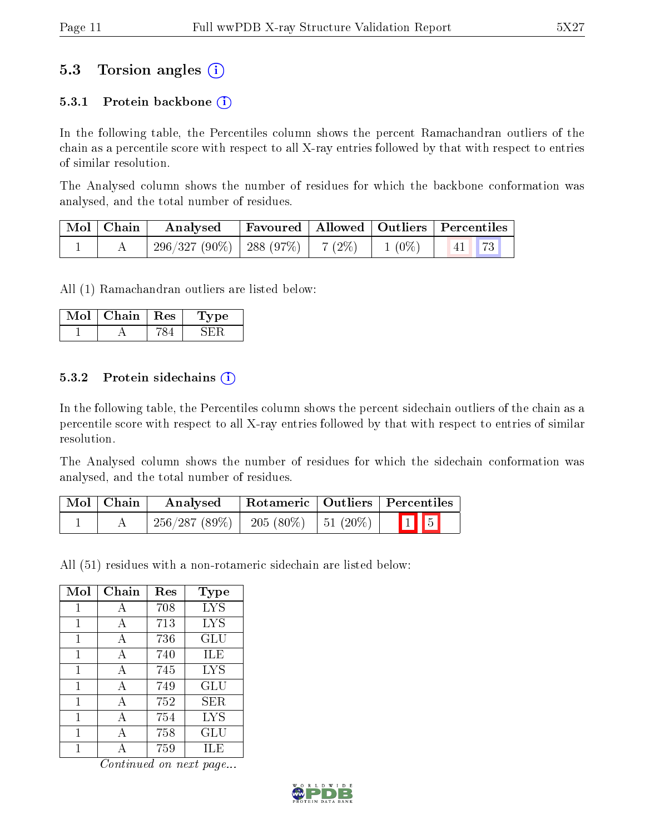## 5.3 Torsion angles (i)

#### 5.3.1 Protein backbone  $(i)$

In the following table, the Percentiles column shows the percent Ramachandran outliers of the chain as a percentile score with respect to all X-ray entries followed by that with respect to entries of similar resolution.

The Analysed column shows the number of residues for which the backbone conformation was analysed, and the total number of residues.

| Mol   Chain | Favoured   Allowed   Outliers   Percentiles<br>Analysed |  |          |                           |
|-------------|---------------------------------------------------------|--|----------|---------------------------|
|             | $296/327(90\%)$   288 (97\%)   7 (2\%)                  |  | $1(0\%)$ | $\vert 41 \vert 73 \vert$ |

All (1) Ramachandran outliers are listed below:

| Mol | Chain | $\operatorname{Res}$ | vpe<br>ı. |
|-----|-------|----------------------|-----------|
|     |       |                      |           |

#### 5.3.2 Protein sidechains  $(i)$

In the following table, the Percentiles column shows the percent sidechain outliers of the chain as a percentile score with respect to all X-ray entries followed by that with respect to entries of similar resolution.

The Analysed column shows the number of residues for which the sidechain conformation was analysed, and the total number of residues.

| $\mid$ Mol $\mid$ Chain | Analysed     | Rotameric   Outliers   Percentiles |  |                         |  |
|-------------------------|--------------|------------------------------------|--|-------------------------|--|
|                         | 256/287(89%) | 205 (80\%)   51 (20\%)             |  | $\boxed{1}$ $\boxed{5}$ |  |

All (51) residues with a non-rotameric sidechain are listed below:

| Mol          | Chain        | Res | <b>Type</b> |
|--------------|--------------|-----|-------------|
| 1            | А            | 708 | <b>LYS</b>  |
| $\mathbf{1}$ | А            | 713 | <b>LYS</b>  |
| 1            | $\mathbf{A}$ | 736 | GLU         |
| 1            | A            | 740 | ILE         |
| 1            | A            | 745 | <b>LYS</b>  |
| 1            | A            | 749 | GLU         |
| $\mathbf{1}$ | A            | 752 | ${\rm SER}$ |
| 1            | А            | 754 | <b>LYS</b>  |
| 1            | А            | 758 | GLU         |
|              |              | 759 | ILE         |

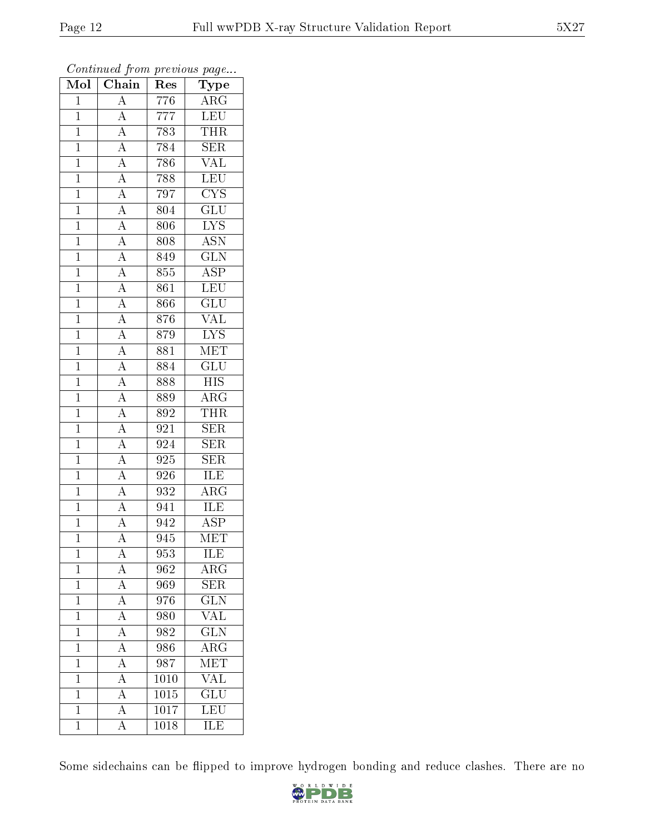| $\overline{\text{Mol}}$ | $\boldsymbol{\mathsf{v}}$<br>Chain  | Res              | $\mathbf{r}$<br>$\cdot$<br>Type |
|-------------------------|-------------------------------------|------------------|---------------------------------|
| $\mathbf{1}$            | $\overline{\rm A}$                  | $\overline{776}$ | $\rm{ARG}$                      |
| $\overline{1}$          | $\overline{A}$                      | 777              | <b>LEU</b>                      |
| $\overline{1}$          | $\overline{A}$                      | 783              | <b>THR</b>                      |
| $\mathbf 1$             | $\overline{A}$                      | 784              | $\overline{\text{SER}}$         |
| $\overline{1}$          | $\overline{A}$                      | 786              | <b>VAL</b>                      |
| $\overline{1}$          | $\overline{A}$                      | 788              | $\overline{\text{LEU}}$         |
| $\overline{1}$          | $\overline{A}$                      | 797              | $\overline{\text{CYS}}$         |
| $\mathbf{1}$            | $\overline{A}$                      | 804              | $\overline{\mathrm{GLU}}$       |
| $\mathbf{1}$            |                                     | 806              | <b>LYS</b>                      |
| $\overline{1}$          | $\frac{\overline{A}}{\overline{A}}$ | 808              | $\overline{\mathrm{ASN}}$       |
| $\mathbf{1}$            | $\overline{A}$                      | 849              | $\overline{\text{GLN}}$         |
| $\mathbf{1}$            |                                     | 855              | $\overline{\text{ASP}}$         |
| $\overline{1}$          | $\frac{\overline{A}}{\overline{A}}$ | 861              | LEU                             |
| $\mathbf{1}$            |                                     | 866              | $\overline{{\rm GLU}}$          |
| $\overline{1}$          | $\overline{A}$                      | 876              | $\overline{\text{VAL}}$         |
| $\overline{1}$          | $\overline{A}$                      | 879              | $\overline{\text{LYS}}$         |
| $\overline{1}$          | $\frac{\overline{A}}{\overline{A}}$ | 881              | $\overline{\text{MET}}$         |
| $\mathbf{1}$            |                                     | 884              | $\overline{\text{GLU}}$         |
| $\mathbf{1}$            | $\overline{A}$                      | 888              | $\overline{\mathrm{HIS}}$       |
| $\mathbf{1}$            | $\overline{A}$                      | 889              | $\rm{ARG}$                      |
| $\overline{1}$          | $\overline{A}$                      | 892              | <b>THR</b>                      |
| $\overline{1}$          | $\overline{A}$                      | 921              | $\overline{\text{SER}}$         |
| $\mathbf 1$             | $\overline{A}$                      | 924              | $\overline{\text{SER}}$         |
| $\overline{1}$          | $\overline{A}$                      | 925              | $\overline{\text{SER}}$         |
| $\mathbf{1}$            | $\overline{A}$                      | 926              | ILE                             |
| $\overline{1}$          | $\overline{A}$                      | 932              | $\rm{ARG}$                      |
| $\mathbf{1}$            | $\overline{A}$                      | 941              | <b>ILE</b>                      |
| $\mathbf{1}$            | $\overline{A}$                      | 942              | $\overline{\text{ASP}}$         |
| $\mathbf 1$             | $\overline{\rm A}$                  | 945              | $\overline{\text{MET}}$         |
| $\mathbf{1}$            | А                                   | 953              | ILE                             |
| $\overline{1}$          | A                                   | 962              | $\rm{ARG}$                      |
| $\mathbf{1}$            | $\overline{A}$                      | 969              | $\overline{\text{SER}}$         |
| $\mathbf{1}$            | $\overline{A}$                      | 976              | <b>GLN</b>                      |
| $\overline{1}$          | $\overline{A}$                      | 980              | $\overline{\text{VAL}}$         |
| $\mathbf{1}$            | $\overline{A}$                      | 982              | $\widetilde{\text{GLN}}$        |
| $\overline{1}$          | $\overline{A}$                      | 986              | $\overline{\text{ARG}}$         |
| $\mathbf 1$             | $\overline{A}$                      | 987              | MET                             |
| $\mathbf{1}$            | $\overline{A}$                      | 1010             | VAL                             |
| $\mathbf{1}$            | $\overline{A}$                      | 1015             | $\overline{\text{GLU}}$         |
| $\overline{1}$          | $\overline{\rm A}$                  | 1017             | LEU                             |
| $\mathbf 1$             | $\overline{\rm A}$                  | 1018             | $\overline{\text{ILE}}$         |

Continued from previous page...

Some sidechains can be flipped to improve hydrogen bonding and reduce clashes. There are no

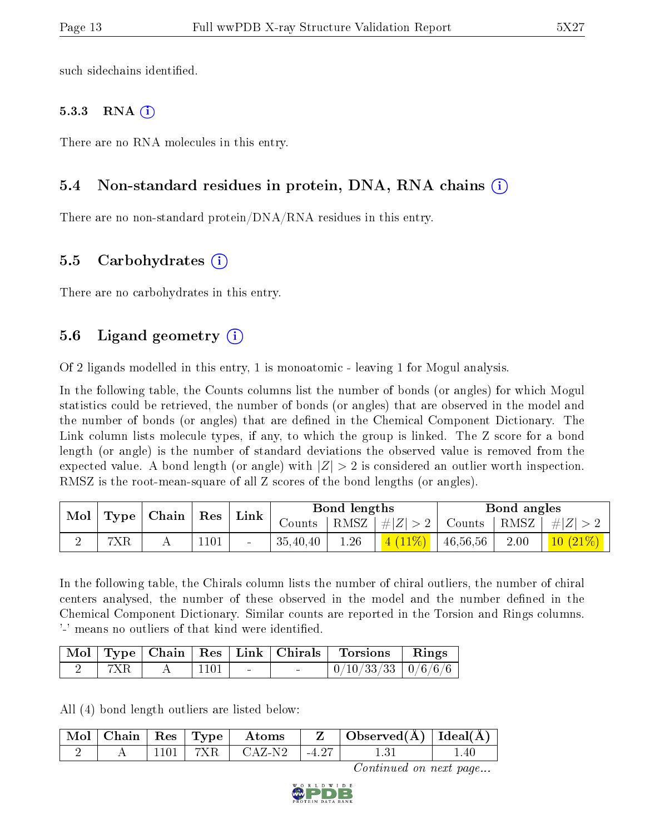such sidechains identified.

#### 5.3.3 RNA  $(i)$

There are no RNA molecules in this entry.

#### 5.4 Non-standard residues in protein, DNA, RNA chains (i)

There are no non-standard protein/DNA/RNA residues in this entry.

#### 5.5 Carbohydrates (i)

There are no carbohydrates in this entry.

### 5.6 Ligand geometry (i)

Of 2 ligands modelled in this entry, 1 is monoatomic - leaving 1 for Mogul analysis.

In the following table, the Counts columns list the number of bonds (or angles) for which Mogul statistics could be retrieved, the number of bonds (or angles) that are observed in the model and the number of bonds (or angles) that are defined in the Chemical Component Dictionary. The Link column lists molecule types, if any, to which the group is linked. The Z score for a bond length (or angle) is the number of standard deviations the observed value is removed from the expected value. A bond length (or angle) with  $|Z| > 2$  is considered an outlier worth inspection. RMSZ is the root-mean-square of all Z scores of the bond lengths (or angles).

| Mol | Type | Chain | ${\mathop{\mathrm{Res}}\nolimits}$ | Link   |          | Bond lengths |             |          | Bond angles           |            |
|-----|------|-------|------------------------------------|--------|----------|--------------|-------------|----------|-----------------------|------------|
|     |      |       |                                    |        | Counts   | RMSZ         | # $ Z  > 2$ | Counts   | $+$ RMSZ <sub>+</sub> | $\# Z $    |
|     | 7XR  |       | $1101\,$                           | $\sim$ | 35,40,40 | 1.26         | $(11\%)$    | 46,56,56 | 2.00                  | $10(21\%)$ |

In the following table, the Chirals column lists the number of chiral outliers, the number of chiral centers analysed, the number of these observed in the model and the number defined in the Chemical Component Dictionary. Similar counts are reported in the Torsion and Rings columns. '-' means no outliers of that kind were identified.

|  |      |                | Mol   Type   Chain   Res   Link   Chirals   Torsions   Rings |  |
|--|------|----------------|--------------------------------------------------------------|--|
|  | 1101 | <b>Section</b> | $0/10/33/33$   $0/6/6/6$                                     |  |

All (4) bond length outliers are listed below:

|  |         | $\mid$ Mol $\mid$ Chain $\mid$ Res $\mid$ Type $\mid$ Atoms | Observed(A)   Ideal(A) |  |
|--|---------|-------------------------------------------------------------|------------------------|--|
|  | - 101 - | ' CAZ-N2-                                                   |                        |  |

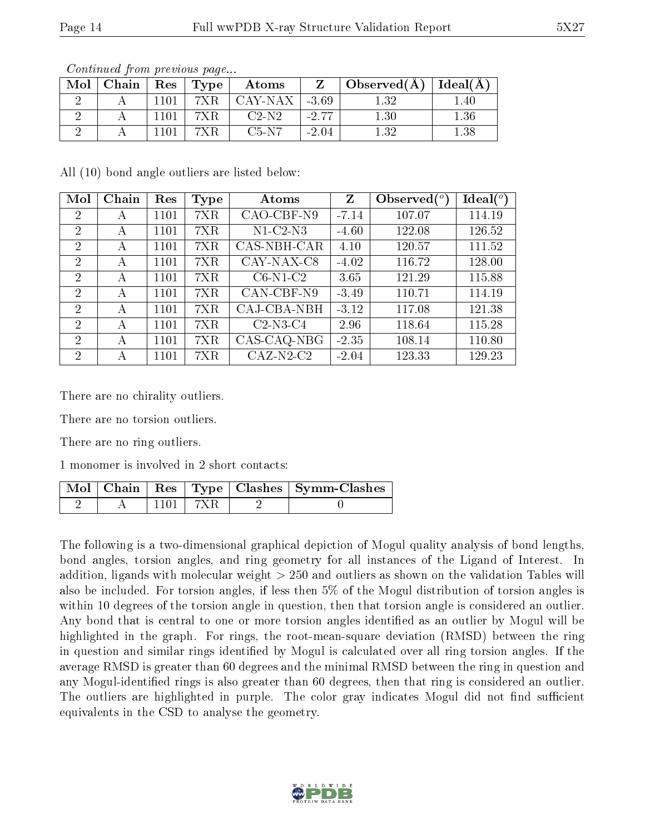| Mol | Chain | $\operatorname{Res}$ | Type | Atoms   | 7       | Observed(A) | Ideal(A) |
|-----|-------|----------------------|------|---------|---------|-------------|----------|
|     |       | 1101                 | 7XR  | CAY-NAX | $-3.69$ | 1.32        | .40      |
|     |       | 1101                 | 7XR  | $C2-N2$ | $-2.77$ | 1.30        | 1.36     |
|     |       | $\;101$              |      | $C5-N7$ | $-2.04$ | 1.32        | $1.38\,$ |

Continued from previous page...

All (10) bond angle outliers are listed below:

| Mol            | Chain | Res  | Type | Atoms        | Z       | Observed $(°)$ | $\text{Ideal}({}^o)$ |
|----------------|-------|------|------|--------------|---------|----------------|----------------------|
| 2              | А     | 1101 | 7XR  | $CAO-CBF-N9$ | $-7.14$ | 107.07         | 114.19               |
| $\overline{2}$ | А     | 1101 | 7XR  | $N1-C2-N3$   | $-4.60$ | 122.08         | 126.52               |
| $\overline{2}$ | А     | 1101 | 7XR  | CAS-NBH-CAR  | 4.10    | 120.57         | 111.52               |
| 2              | А     | 1101 | 7XR  | CAY-NAX-C8   | $-4.02$ | 116.72         | 128.00               |
| $\overline{2}$ | А     | 1101 | 7XR  | $C6-N1-C2$   | 3.65    | 121.29         | 115.88               |
| $\overline{2}$ | А     | 1101 | 7XR  | CAN-CBF-N9   | $-3.49$ | 110.71         | 114.19               |
| $\overline{2}$ | А     | 1101 | 7XR  | CAJ-CBA-NBH  | $-3.12$ | 117.08         | 121.38               |
| $\overline{2}$ | А     | 1101 | 7XR  | $C2-N3-C4$   | 2.96    | 118.64         | 115.28               |
| $\overline{2}$ | А     | 1101 | 7XR  | CAS-CAQ-NBG  | $-2.35$ | 108.14         | 110.80               |
| $\overline{2}$ | А     | 1101 | 7XR  | $CAZ-N2-C2$  | $-2.04$ | 123.33         | 129.23               |

There are no chirality outliers.

There are no torsion outliers.

There are no ring outliers.

1 monomer is involved in 2 short contacts:

|  |  | Mol   Chain   Res   Type   Clashes   Symm-Clashes |
|--|--|---------------------------------------------------|
|  |  |                                                   |

The following is a two-dimensional graphical depiction of Mogul quality analysis of bond lengths, bond angles, torsion angles, and ring geometry for all instances of the Ligand of Interest. In addition, ligands with molecular weight > 250 and outliers as shown on the validation Tables will also be included. For torsion angles, if less then 5% of the Mogul distribution of torsion angles is within 10 degrees of the torsion angle in question, then that torsion angle is considered an outlier. Any bond that is central to one or more torsion angles identified as an outlier by Mogul will be highlighted in the graph. For rings, the root-mean-square deviation (RMSD) between the ring in question and similar rings identified by Mogul is calculated over all ring torsion angles. If the average RMSD is greater than 60 degrees and the minimal RMSD between the ring in question and any Mogul-identified rings is also greater than 60 degrees, then that ring is considered an outlier. The outliers are highlighted in purple. The color gray indicates Mogul did not find sufficient equivalents in the CSD to analyse the geometry.

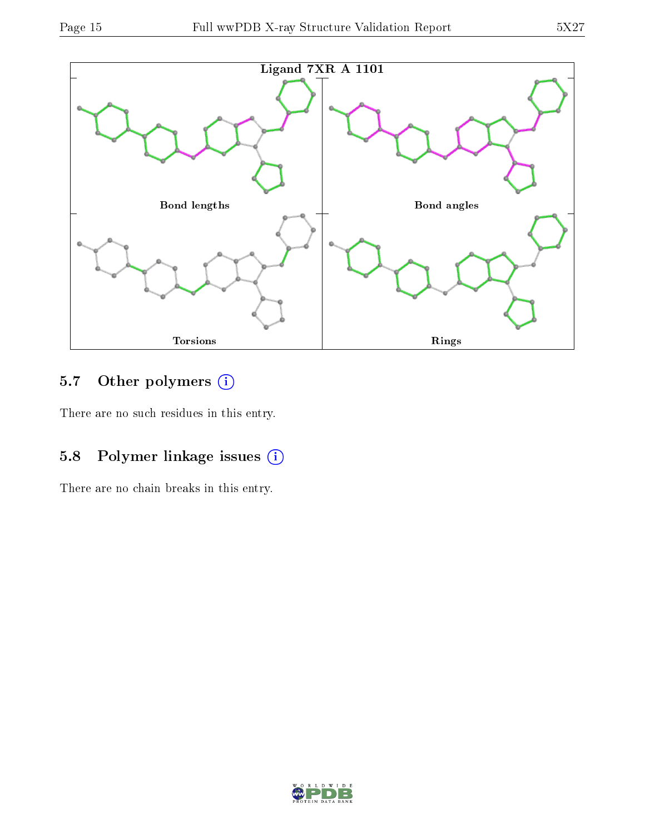

## 5.7 [O](https://www.wwpdb.org/validation/2017/XrayValidationReportHelp#nonstandard_residues_and_ligands)ther polymers (i)

There are no such residues in this entry.

## 5.8 Polymer linkage issues (i)

There are no chain breaks in this entry.

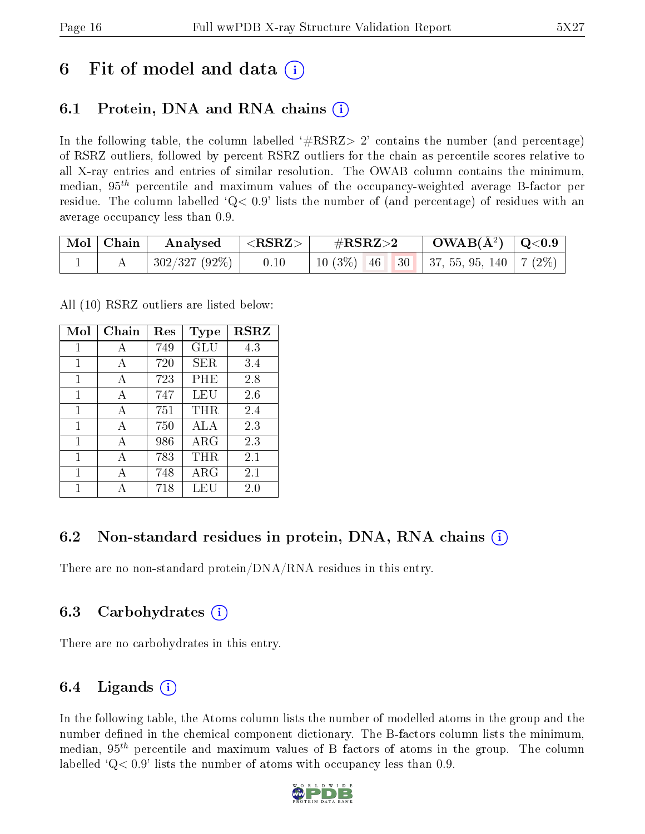## 6 Fit of model and data  $\left( \cdot \right)$

## 6.1 Protein, DNA and RNA chains (i)

In the following table, the column labelled  $#RSRZ>2'$  contains the number (and percentage) of RSRZ outliers, followed by percent RSRZ outliers for the chain as percentile scores relative to all X-ray entries and entries of similar resolution. The OWAB column contains the minimum, median,  $95<sup>th</sup>$  percentile and maximum values of the occupancy-weighted average B-factor per residue. The column labelled  $Q< 0.9$  lists the number of (and percentage) of residues with an average occupancy less than 0.9.

| $\mid$ Mol $\mid$ Chain | Analysed                                  | $ \langle \mathrm{RSRZ}\rangle $ | $\#\text{RSRZ}{>}2$ | $\text{OWAB}(\AA^2) \mid \text{Q}<0.9$       |  |
|-------------------------|-------------------------------------------|----------------------------------|---------------------|----------------------------------------------|--|
|                         | $\mid 302/327 \; (92\%) \mid \qquad 0.10$ |                                  |                     | 10 (3%)   46   30   37, 55, 95, 140   7 (2%) |  |

All (10) RSRZ outliers are listed below:

| Mol          | Chain | Res | <b>Type</b> | <b>RSRZ</b> |
|--------------|-------|-----|-------------|-------------|
| 1            | А     | 749 | <b>GLU</b>  | 4.3         |
| $\mathbf{1}$ | A     | 720 | SER         | 3.4         |
| 1            | A     | 723 | PHE         | 2.8         |
| 1            | A     | 747 | LEU         | 2.6         |
| 1            | А     | 751 | THR         | 2.4         |
| 1            | A     | 750 | ALA         | 2.3         |
| 1            | A     | 986 | $\rm{ARG}$  | 2.3         |
| 1            | A     | 783 | THR         | 2.1         |
| 1            | А     | 748 | ${\rm ARG}$ | 2.1         |
| 1            |       | 718 | LEU         | $2.0\,$     |

## 6.2 Non-standard residues in protein, DNA, RNA chains (i)

There are no non-standard protein/DNA/RNA residues in this entry.

### 6.3 Carbohydrates (i)

There are no carbohydrates in this entry.

### 6.4 Ligands  $(i)$

In the following table, the Atoms column lists the number of modelled atoms in the group and the number defined in the chemical component dictionary. The B-factors column lists the minimum, median,  $95<sup>th</sup>$  percentile and maximum values of B factors of atoms in the group. The column labelled  $Q< 0.9$ ' lists the number of atoms with occupancy less than 0.9.